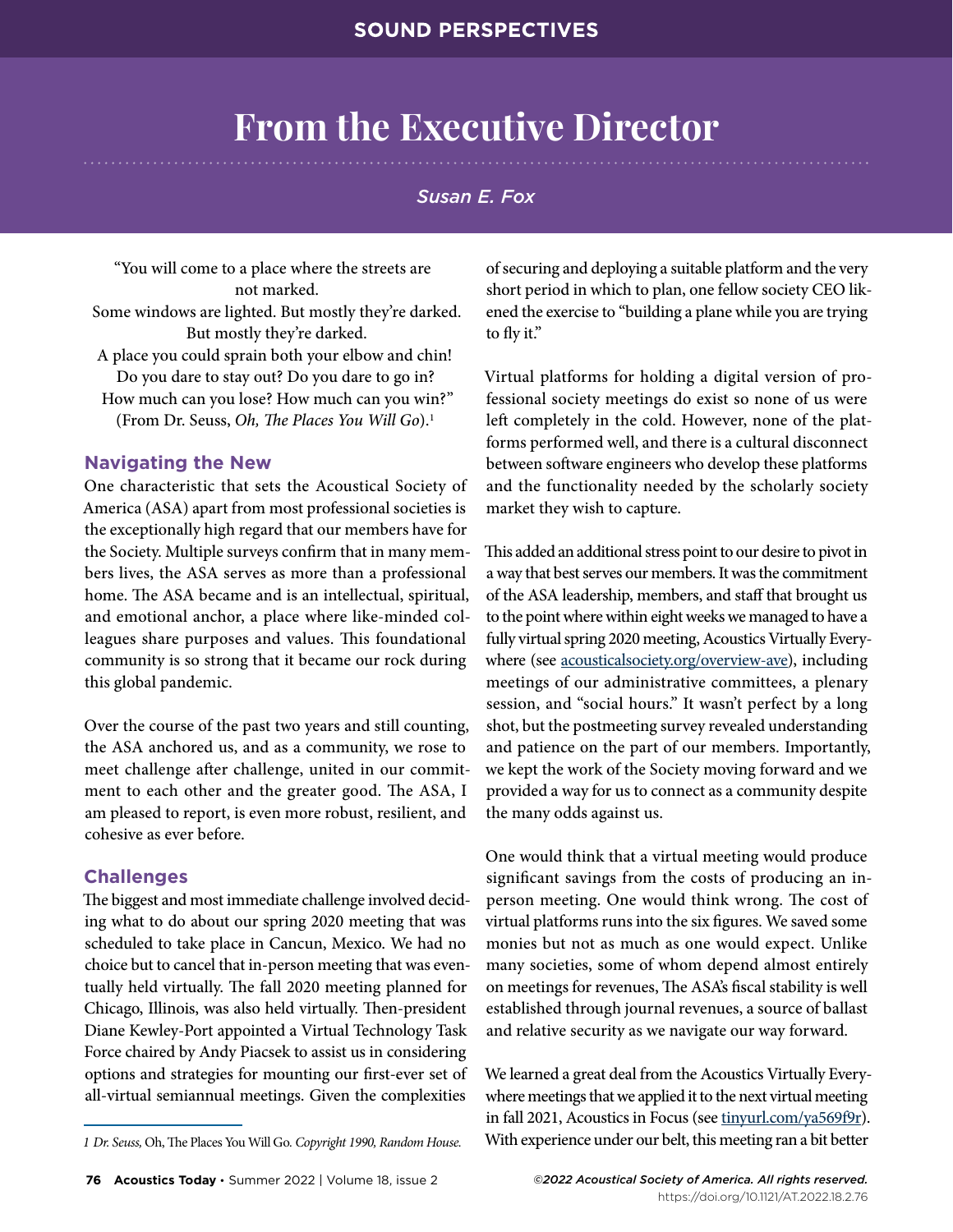# **From the Executive Director**

## *Susan E. Fox*

"You will come to a place where the streets are not marked. Some windows are lighted. But mostly they're darked. But mostly they're darked. A place you could sprain both your elbow and chin! Do you dare to stay out? Do you dare to go in? How much can you lose? How much can you win?" (From Dr. Seuss, *Oh, The Places You Will Go*).1

### **Navigating the New**

One characteristic that sets the Acoustical Society of America (ASA) apart from most professional societies is the exceptionally high regard that our members have for the Society. Multiple surveys confirm that in many members lives, the ASA serves as more than a professional home. The ASA became and is an intellectual, spiritual, and emotional anchor, a place where like-minded colleagues share purposes and values. This foundational community is so strong that it became our rock during this global pandemic.

Over the course of the past two years and still counting, the ASA anchored us, and as a community, we rose to meet challenge after challenge, united in our commitment to each other and the greater good. The ASA, I am pleased to report, is even more robust, resilient, and cohesive as ever before.

## **Challenges**

The biggest and most immediate challenge involved deciding what to do about our spring 2020 meeting that was scheduled to take place in Cancun, Mexico. We had no choice but to cancel that in-person meeting that was eventually held virtually. The fall 2020 meeting planned for Chicago, Illinois, was also held virtually. Then-president Diane Kewley-Port appointed a Virtual Technology Task Force chaired by Andy Piacsek to assist us in considering options and strategies for mounting our first-ever set of all-virtual semiannual meetings. Given the complexities

of securing and deploying a suitable platform and the very short period in which to plan, one fellow society CEO likened the exercise to "building a plane while you are trying to fly it."

Virtual platforms for holding a digital version of professional society meetings do exist so none of us were left completely in the cold. However, none of the platforms performed well, and there is a cultural disconnect between software engineers who develop these platforms and the functionality needed by the scholarly society market they wish to capture.

This added an additional stress point to our desire to pivot in a way that best serves our members. It was the commitment of the ASA leadership, members, and staff that brought us to the point where within eight weeks we managed to have a fully virtual spring 2020 meeting, [Acoustics Virtually Every](https://acousticalsociety.org/overview-ave/)[where](https://acousticalsociety.org/overview-ave/) (see [acousticalsociety.org/overview-ave](https://acousticalsociety.org/overview-ave)), including meetings of our administrative committees, a plenary session, and "social hours." It wasn't perfect by a long shot, but the postmeeting survey revealed understanding and patience on the part of our members. Importantly, we kept the work of the Society moving forward and we provided a way for us to connect as a community despite the many odds against us.

One would think that a virtual meeting would produce significant savings from the costs of producing an inperson meeting. One would think wrong. The cost of virtual platforms runs into the six figures. We saved some monies but not as much as one would expect. Unlike many societies, some of whom depend almost entirely on meetings for revenues, The ASA's fiscal stability is well established through journal revenues, a source of ballast and relative security as we navigate our way forward.

We learned a great deal from the Acoustics Virtually Everywhere meetings that we applied it to the next virtual meeting in fall 2021, [Acoustics in Focus](https://acousticalsociety.org/acoustics-in-focus-the-180th-meeting-of-the-acoustical-society-of-america-8-10-june-2021/) (see [tinyurl.com/ya569f9r](https://tinyurl.com/ya569f9r)). With experience under our belt, this meeting ran a bit better

*<sup>1</sup> Dr. Seuss,* Oh, The Places You Will Go*. Copyright 1990, Random House.*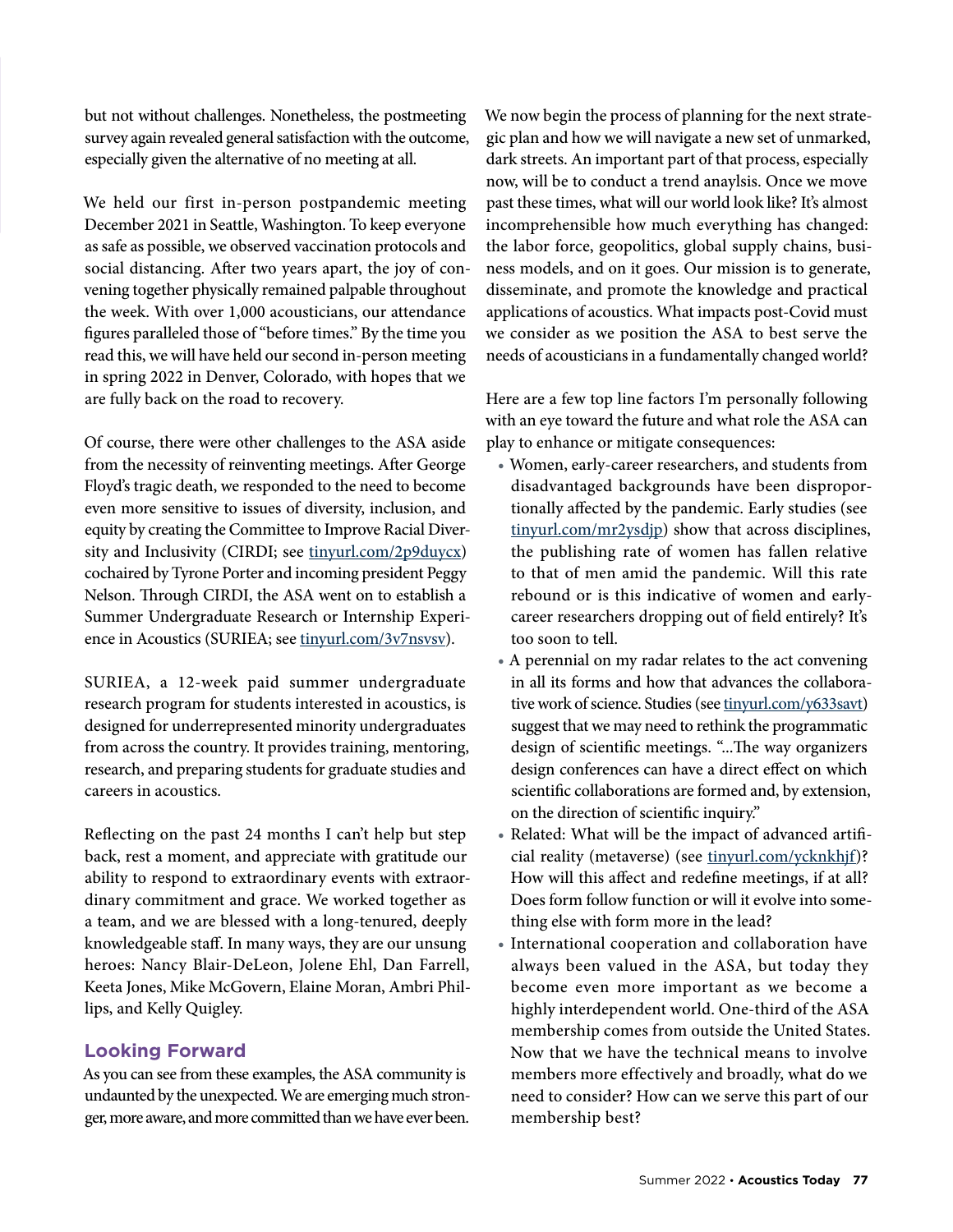but not without challenges. Nonetheless, the postmeeting survey again revealed general satisfaction with the outcome, especially given the alternative of no meeting at all.

We held our first in-person postpandemic meeting December 2021 in Seattle, Washington. To keep everyone as safe as possible, we observed vaccination protocols and social distancing. After two years apart, the joy of convening together physically remained palpable throughout the week. With over 1,000 acousticians, our attendance figures paralleled those of "before times." By the time you read this, we will have held our second in-person meeting in spring 2022 in Denver, Colorado, with hopes that we are fully back on the road to recovery.

Of course, there were other challenges to the ASA aside from the necessity of reinventing meetings. After George Floyd's tragic death, we responded to the need to become even more sensitive to issues of diversity, inclusion, and equity by creating the [Committee to Improve Racial Diver](https://acousticalsociety.org/cirdi-milestones/)[sity and Inclusivity](https://acousticalsociety.org/cirdi-milestones/) (CIRDI; see [tinyurl.com/2p9duycx](https://tinyurl.com/2p9duycx)) cochaired by Tyrone Porter and incoming president Peggy Nelson. Through CIRDI, the ASA went on to establish a [Summer Undergraduate Research or Internship Experi](https://acousticalsociety.org/suriea/)[ence in Acoustics](https://acousticalsociety.org/suriea/) (SURIEA; see [tinyurl.com/3v7nsvsv](https://tinyurl.com/3v7nsvsv)).

SURIEA, a 12-week paid summer undergraduate research program for students interested in acoustics, is designed for underrepresented minority undergraduates from across the country. It provides training, mentoring, research, and preparing students for graduate studies and careers in acoustics.

Reflecting on the past 24 months I can't help but step back, rest a moment, and appreciate with gratitude our ability to respond to extraordinary events with extraordinary commitment and grace. We worked together as a team, and we are blessed with a long-tenured, deeply knowledgeable staff. In many ways, they are our unsung heroes: Nancy Blair-DeLeon, Jolene Ehl, Dan Farrell, Keeta Jones, Mike McGovern, Elaine Moran, Ambri Phillips, and Kelly Quigley.

## **Looking Forward**

As you can see from these examples, the ASA community is undaunted by the unexpected. We are emerging much stronger, more aware, and more committed than we have ever been. We now begin the process of planning for the next strategic plan and how we will navigate a new set of unmarked, dark streets. An important part of that process, especially now, will be to conduct a trend anaylsis. Once we move past these times, what will our world look like? It's almost incomprehensible how much everything has changed: the labor force, geopolitics, global supply chains, business models, and on it goes. Our mission is to generate, disseminate, and promote the knowledge and practical applications of acoustics. What impacts post-Covid must we consider as we position the ASA to best serve the needs of acousticians in a fundamentally changed world?

Here are a few top line factors I'm personally following with an eye toward the future and what role the ASA can play to enhance or mitigate consequences:

- Women, early-career researchers, and students from disadvantaged backgrounds have been disproportionally affected by the pandemic. [Early studies](https://www.nature.com/articles/d41586-020-01294-9) (see [tinyurl.com/mr2ysdjp\)](https://tinyurl.com/mr2ysdjp) show that across disciplines, the publishing rate of women has fallen relative to that of men amid the pandemic. Will this rate rebound or is this indicative of women and earlycareer researchers dropping out of field entirely? It's too soon to tell.
- A perennial on my radar relates to the act convening in all its forms and how that advances the collabora-tive work of science. [Studies](https://arxiv.org/abs/2112.08468) (see [tinyurl.com/y633savt](https://tinyurl.com/y633savt)) suggest that we may need to rethink the programmatic design of scientific meetings. "...The way organizers design conferences can have a direct effect on which scientific collaborations are formed and, by extension, on the direction of scientific inquiry."
- Related: What will be the impact of advanced artificial reality [\(metaverse\)](https://www.forbes.com/sites/forbescommunicationscouncil/2022/01/13/meetings-in-the-metaverse-is-this-the-future-of-events-and-conferences/?sh=78c54d888a1f) (see [tinyurl.com/ycknkhjf](https://tinyurl.com/ycknkhjf))? How will this affect and redefine meetings, if at all? Does form follow function or will it evolve into something else with form more in the lead?
- International cooperation and collaboration have always been valued in the ASA, but today they become even more important as we become a highly interdependent world. One-third of the ASA membership comes from outside the United States. Now that we have the technical means to involve members more effectively and broadly, what do we need to consider? How can we serve this part of our membership best?